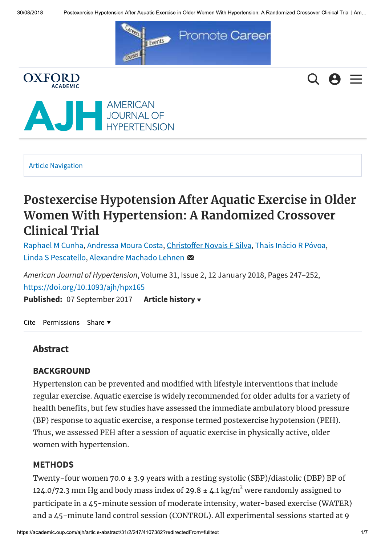







**Article Navigation** 

## **Postexercise Hypotension After Aquatic Exercise in Older Women With Hypertension: A Randomized Crossover Clinical Trial**

Raphael M Cunha, Andressa Moura Costa, Christoffer Novais F Silva, Thais Inácio R Póvoa, Linda S Pescatello, Alexandre Machado Lehnen

American Journal of Hypertension, Volume 31, Issue 2, 12 January 2018, Pages 247-252, https://doi.org/10.1093/aih/hpx165 Published: 07 September 2017 Article history v

Cite Permissions Share

#### **Abstract**

#### **BACKGROUND**

Hypertension can be prevented and modified with lifestyle interventions that include regular exercise. Aquatic exercise is widely recommended for older adults for a variety of health benefits, but few studies have assessed the immediate ambulatory blood pressure (BP) response to aquatic exercise, a response termed postexercise hypotension (PEH). Thus, we assessed PEH after a session of aquatic exercise in physically active, older women with hypertension.

#### **METHODS**

Twenty-four women 70.0 ± 3.9 years with a resting systolic (SBP)/diastolic (DBP) BP of 124.0/72.3 mm Hg and body mass index of 29.8  $\pm$  4.1 kg/m<sup>2</sup> were randomly assigned to participate in a 45-minute session of moderate intensity, water-based exercise (WATER) and a 45-minute land control session (CONTROL). All experimental sessions started at 9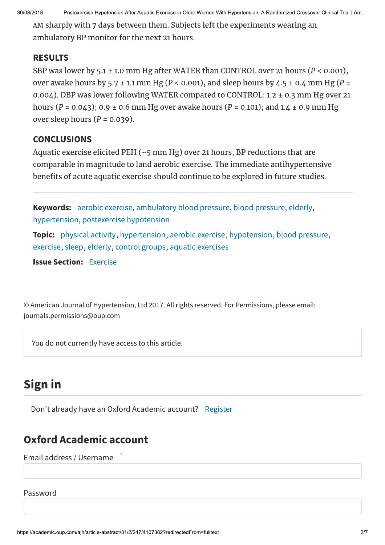AM sharply with 7 days between them. Subjects left the experiments wearing an ambulatory BP monitor for the next 21 hours.

#### **RESULTS**

SBP was lower by  $5.1 \pm 1.0$  mm Hg after WATER than CONTROL over 21 hours ( $P < 0.001$ ), over awake hours by 5.7 ± 1.1 mm Hg ( $P < 0.001$ ), and sleep hours by 4.5 ± 0.4 mm Hg ( $P =$ 0.004). DBP was lower following WATER compared to CONTROL:  $1.2 \pm 0.3$  mm Hg over 21 hours ( $P = 0.043$ ); 0.9 ± 0.6 mm Hg over awake hours ( $P = 0.101$ ); and 1.4 ± 0.9 mm Hg over sleep hours ( $P = 0.039$ ).

#### CONCLUSIONS

Aquatic exercise elicited PEH ( $\sim$ 5 mm Hg) over 21 hours, BP reductions that are comparable in magnitude to land aerobic exercise. The immediate antihypertensive benefits of acute aquatic exercise should continue to be explored in future studies.

Keywords: aerobic exercise, ambulatory blood pressure, blood pressure, elderly, hypertension, postexercise hypotension

Topic: physical activity, hypertension, aerobic exercise, hypotension, blood pressure, exercise, sleep, elderly, control groups, aquatic exercises

**Issue Section: Exercise** 

 $\odot$  American Journal of Hypertension, Ltd 2017. All rights reserved. For Permissions, please email: iournals.permissions@oup.com

You do not currently have access to this article.

# **Sign in**

Don't already have an Oxford Academic account? Register

## Oxford Academic account

Email address / Username<br>|<br>Password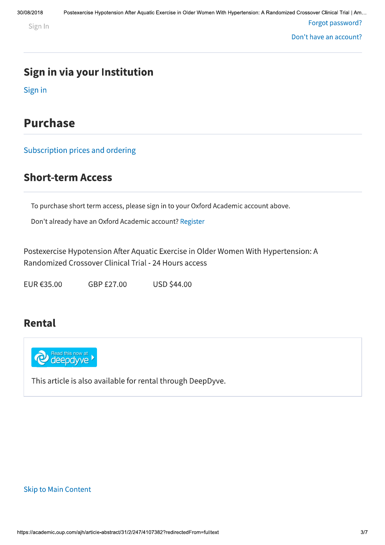erger passences.<br>
Bon't have an account?<br>
Sign in

Forgot password?

## Sign in via your Institution

Sign in

## Purchase

Subscription prices and ordering

### Short-term Access

To purchase short term access, please sign in to your Oxford Academic account above.

Don't already have an Oxford Academic account? Register

Postexercise Hypotension After Aquatic Exercise in Older Women With Hypertension: A Randomized Crossover Clinical Trial - 24 Hours access

 $EUR €35.00$  GBP £27.00 USD \$44.00

### **Rental**



This article is also available for rental through DeepDyve.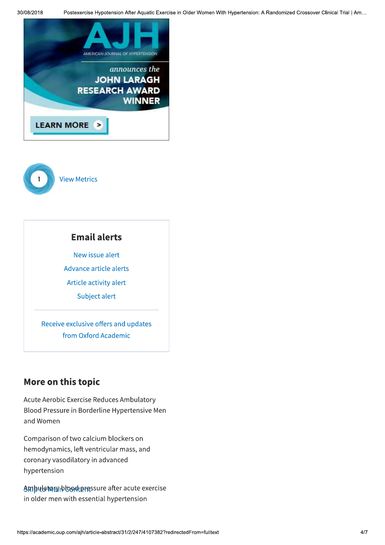





from Oxford Academic

#### More on this topic

Acute Aerobic Exercise Reduces Ambulatory Blood Pressure in Borderline Hypertensive Men and Women

Comparison of two calcium blockers on hemodynamics, left ventricular mass, and coronary vasodilatory in advanced hypertension

BUIBUG WEYN CONTENTSSUIE after active exercise<br>in older men with essential hypertension<br>ps://academic.oup.com/ajh/article-abstract/31/2/247/4107382?redirectedFrom=fulltext<br>4/7 **Ampulatory blood terms** after acute exercise in older men with essential hypertension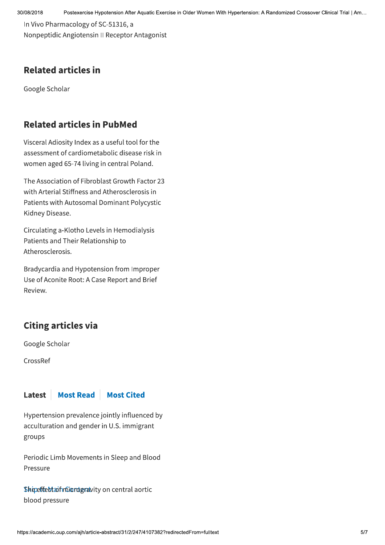In Vivo Pharmacology of SC-51316, a Nonpeptidic Angiotensin II Receptor Antagonist

## **Related articles in**

Google Scholar

## **Related articles in PubMed**

Visceral Adiosity Index as a useful tool for the assessment of cardiometabolic disease risk in women aged 65-74 living in central Poland.

The Association of Fibroblast Growth Factor 23 with Arterial Stiffness and Atherosclerosis in Patients with Autosomal Dominant Polycystic Kidney Disease.

Circulating a-Klotho Levels in Hemodialysis Patients and Their Relationship to Atherosclerosis.

Bradycardia and Hypotension from Improper Use of Aconite Root: A Case Report and Brief Review.

## **Citing articles via**

Google Scholar

CrossRef

#### Most Read | Most Cited **Latest**

Hypertension prevalence jointly influenced by acculturation and gender in U.S. immigrant groups

Periodic Limb Movements in Sleep and Blood Pressure

Shipeffectainnaicrogravity on central aortic blood pressure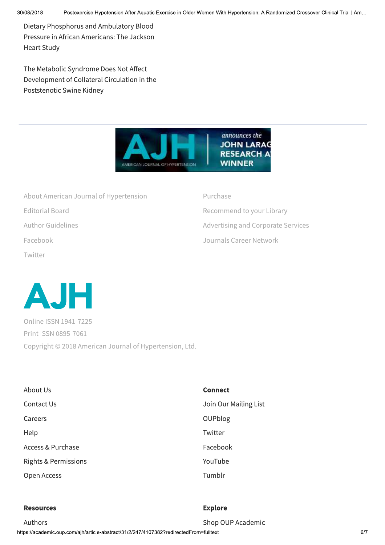Dietary Phosphorus and Ambulatory Blood Pressure in African Americans: The Jackson **Heart Study** 

The Metabolic Syndrome Does Not Affect Development of Collateral Circulation in the Poststenotic Swine Kidney



About American Journal of Hypertension **Editorial Board** Author Guidelines Facebook Twitter

Purchase

Recommend to your Library Advertising and Corporate Services Journals Career Network



Online ISSN 1941-7225 Print ISSN 0895-7061 Copyright © 2018 American Journal of Hypertension, Ltd.

| About Us             | <b>Connect</b>        |
|----------------------|-----------------------|
| Contact Us           | Join Our Mailing List |
| Careers              | OUPblog               |
| Help                 | Twitter               |
| Access & Purchase    | Facebook              |
| Rights & Permissions | YouTube               |
| Open Access          | Tumblr                |

| <b>Resources</b>                                                                       | <b>Explore</b>    |  |  |  |
|----------------------------------------------------------------------------------------|-------------------|--|--|--|
| <b>Authors</b>                                                                         | Shop OUP Academic |  |  |  |
| https://academic.oup.com/aih/article-abstract/31/2/247/4107382?redirectedFrom=fulltext |                   |  |  |  |